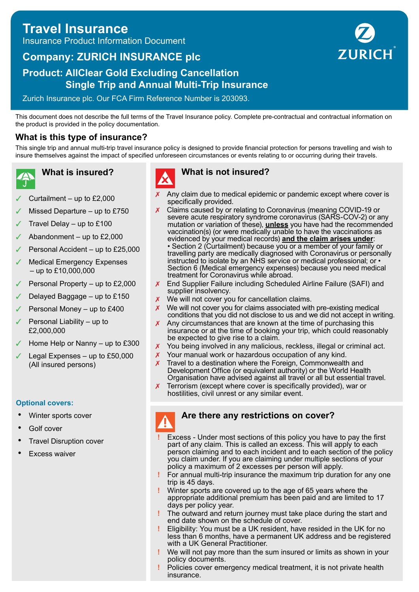# **Travel Insurance** Insurance Product Information Document

# **Company: ZURICH INSURANCE plc**

## **Product: AllClear Gold Excluding Cancellation Single Trip and Annual Multi-Trip Insurance**

Zurich Insurance plc. Our FCA Firm Reference Number is 203093.

This document does not describe the full terms of the Travel Insurance policy. Complete pre-contractual and contractual information on the product is provided in the policy documentation.

### **What is this type of insurance?**

This single trip and annual multi-trip travel insurance policy is designed to provide financial protection for persons travelling and wish to insure themselves against the impact of specified unforeseen circumstances or events relating to or occurring during their travels.

- **What is insured?**
- ✓ Curtailment up to £2,000
- Missed Departure  $-$  up to £750
- Travel Delay up to  $£100$
- ✓ Abandonment up to £2,000
- Personal Accident up to £25,000
- Medical Emergency Expenses – up to £10,000,000
- Personal Property up to  $£2,000$
- Delayed Baggage  $-$  up to £150
- Personal Money up to £400
- Personal Liability up to £2,000,000
- Home Help or Nanny up to £300
- Legal Expenses up to  $£50,000$ (All insured persons)

#### **Optional covers:**

- Winter sports cover
- Golf cover
- **Travel Disruption cover**
- **Excess waiver**



#### **What is not insured?**

- Any claim due to medical epidemic or pandemic except where cover is specifically provided.
- Claims caused by or relating to Coronavirus (meaning COVID-19 or severe acute respiratory syndrome coronavirus (SARS-COV-2) or any mutation or variation of these), **unless** you have had the recommended vaccination(s) (or were medically unable to have the vaccinations as evidenced by your medical records) **and the claim arises under**: • Section 2 (Curtailment) because you or a member of your family or travelling party are medically diagnosed with Coronavirus or personally instructed to isolate by an NHS service or medical professional; or • Section 6 (Medical emergency expenses) because you need medical treatment for Coronavirus while abroad.
- ✗ End Supplier Failure including Scheduled Airline Failure (SAFI) and supplier insolvency.
- We will not cover you for cancellation claims.
- $\chi$  We will not cover you for claims associated with pre-existing medical conditions that you did not disclose to us and we did not accept in writing.
- Any circumstances that are known at the time of purchasing this insurance or at the time of booking your trip, which could reasonably be expected to give rise to a claim.
- ✗ You being involved in any malicious, reckless, illegal or criminal act.
- ✗ Your manual work or hazardous occupation of any kind.
- $\chi$  Travel to a destination where the Foreign, Commonwealth and Development Office (or equivalent authority) or the World Health Organisation have advised against all travel or all but essential travel.
- Terrorism (except where cover is specifically provided), war or hostilities, civil unrest or any similar event.

#### **Are there any restrictions on cover?**

- **!** Excess Under most sections of this policy you have to pay the first part of any claim. This is called an excess. This will apply to each person claiming and to each incident and to each section of the policy you claim under. If you are claiming under multiple sections of your policy a maximum of 2 excesses per person will apply.
- **!** For annual multi-trip insurance the maximum trip duration for any one trip is 45 days.
- **!** Winter sports are covered up to the age of 65 years where the appropriate additional premium has been paid and are limited to 17 days per policy year.
- **!** The outward and return journey must take place during the start and end date shown on the schedule of cover.
- **!** Eligibility: You must be a UK resident, have resided in the UK for no less than 6 months, have a permanent UK address and be registered with a UK General Practitioner.
- **!** We will not pay more than the sum insured or limits as shown in your policy documents.
- **!** Policies cover emergency medical treatment, it is not private health insurance.